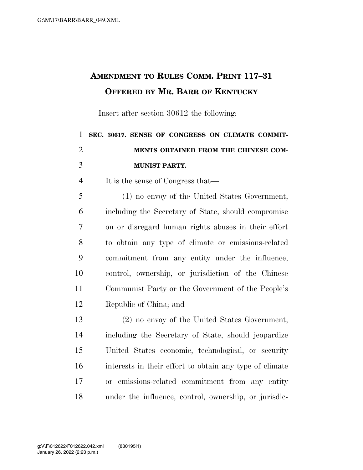## **AMENDMENT TO RULES COMM. PRINT 117–31 OFFERED BY MR. BARR OF KENTUCKY**

Insert after section 30612 the following:

| 1 SEC. 30617. SENSE OF CONGRESS ON CLIMATE COMMIT- |
|----------------------------------------------------|
| MENTS OBTAINED FROM THE CHINESE COM-               |
| <b>MUNIST PARTY.</b>                               |

It is the sense of Congress that—

 (1) no envoy of the United States Government, including the Secretary of State, should compromise on or disregard human rights abuses in their effort to obtain any type of climate or emissions-related commitment from any entity under the influence, control, ownership, or jurisdiction of the Chinese Communist Party or the Government of the People's Republic of China; and

 (2) no envoy of the United States Government, including the Secretary of State, should jeopardize United States economic, technological, or security interests in their effort to obtain any type of climate or emissions-related commitment from any entity under the influence, control, ownership, or jurisdic-